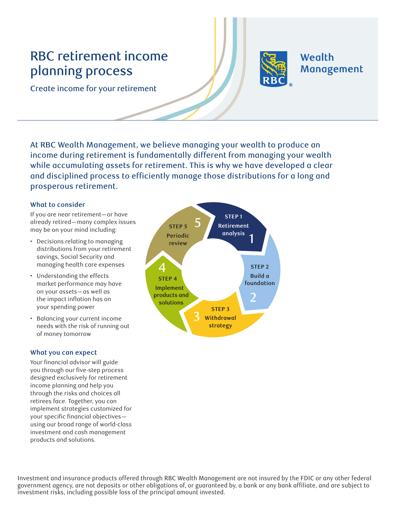# RBC retirement income planning process



Wealth Management

Create income for your retirement

At RBC Wealth Management, we believe managing your wealth to produce an income during retirement is fundamentally different from managing your wealth while accumulating assets for retirement. This is why we have developed a clear and disciplined process to efficiently manage those distributions for a long and prosperous retirement.

# **What to consider**

If you are near retirement—or have already retired—many complex issues may be on your mind including:

- Decisions relating to managing distributions from your retirement savings, Social Security and managing health care expenses
- Understanding the effects market performance may have on your assets—as well as the impact inflation has on your spending power
- Balancing your current income needs with the risk of running out of money tomorrow

# **What you can expect**

Your financial advisor will guide you through our five-step process designed exclusively for retirement income planning and help you through the risks and choices all retirees face. Together, you can implement strategies customized for your specific financial objectivesusing our broad range of world-class investment and cash management products and solutions.



Investment and insurance products offered through RBC Wealth Management are not insured by the FDIC or any other federal government agency, are not deposits or other obligations of, or guaranteed by, a bank or any bank affiliate, and are subject to investment risks, including possible loss of the principal amount invested.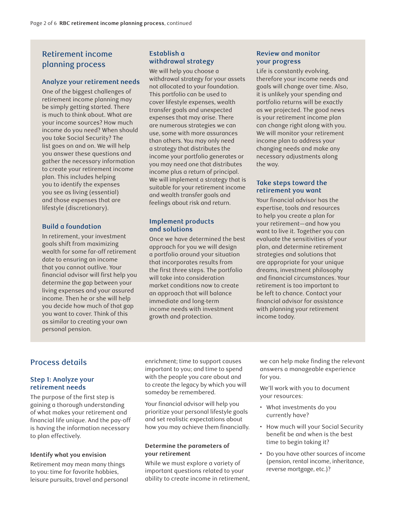# Retirement income planning process

# **Analyze your retirement needs**

One of the biggest challenges of retirement income planning may be simply getting started. There is much to think about. What are your income sources? How much income do you need? When should you take Social Security? The list goes on and on. We will help you answer these questions and gather the necessary information to create your retirement income plan. This includes helping you to identify the expenses you see as living (essential) and those expenses that are lifestyle (discretionary).

# **Build a foundation**

In retirement, your investment goals shift from maximizing wealth for some far-off retirement date to ensuring an income that you cannot outlive. Your financial advisor will first help you determine the gap between your living expenses and your assured income. Then he or she will help you decide how much of that gap you want to cover. Think of this as similar to creating your own personal pension.

#### **Establish a withdrawal strategy**

We will help you choose a withdrawal strategy for your assets not allocated to your foundation. This portfolio can be used to cover lifestyle expenses, wealth transfer goals and unexpected expenses that may arise. There are numerous strategies we can use, some with more assurances than others. You may only need a strategy that distributes the income your portfolio generates or you may need one that distributes income plus a return of principal. We will implement a strategy that is suitable for your retirement income and wealth transfer goals and feelings about risk and return.

#### **Implement products and solutions**

Once we have determined the best approach for you we will design a portfolio around your situation that incorporates results from the first three steps. The portfolio will take into consideration market conditions now to create an approach that will balance immediate and long-term income needs with investment growth and protection.

# **Review and monitor your progress**

Life is constantly evolving, therefore your income needs and goals will change over time. Also, it is unlikely your spending and portfolio returns will be exactly as we projected. The good news is your retirement income plan can change right along with you. We will monitor your retirement income plan to address your changing needs and make any necessary adjustments along the way.

# **Take steps toward the retirement you want**

Your financial advisor has the expertise, tools and resources to help you create a plan for your retirement—and how you want to live it. Together you can evaluate the sensitivities of your plan, and determine retirement strategies and solutions that are appropriate for your unique dreams, investment philosophy and financial circumstances. Your retirement is too important to be left to chance. Contact your financial advisor for assistance with planning your retirement income today.

# Process details

# **Step 1: Analyze your retirement needs**

The purpose of the first step is gaining a thorough understanding of what makes your retirement and financial life unique. And the pay-off is having the information necessary to plan effectively.

# **Identify what you envision**

Retirement may mean many things to you: time for favorite hobbies, leisure pursuits, travel and personal enrichment; time to support causes important to you; and time to spend with the people you care about and to create the legacy by which you will someday be remembered.

Your financial advisor will help you prioritize your personal lifestyle goals and set realistic expectations about how you may achieve them financially.

#### **Determine the parameters of your retirement**

While we must explore a variety of important questions related to your ability to create income in retirement, we can help make finding the relevant answers a manageable experience for you.

We'll work with you to document your resources:

- What investments do you currently have?
- How much will your Social Security benefit be and when is the best time to begin taking it?
- Do you have other sources of income (pension, rental income, inheritance, reverse mortgage, etc.)?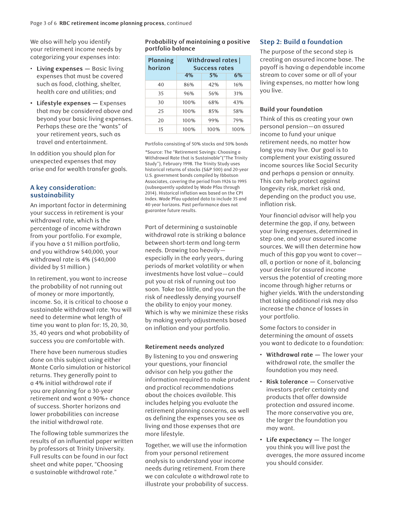We also will help you identify your retirement income needs by categorizing your expenses into:

- **Living expenses** Basic living expenses that must be covered such as food, clothing, shelter, health care and utilities; and
- **• Lifestyle expenses** Expenses that may be considered above and beyond your basic living expenses. Perhaps these are the "wants" of your retirement years, such as travel and entertainment.

In addition you should plan for unexpected expenses that may arise and for wealth transfer goals.

# **A key consideration: sustainability**

An important factor in determining your success in retirement is your withdrawal rate, which is the percentage of income withdrawn from your portfolio. For example, if you have a \$1 million portfolio, and you withdraw \$40,000, your withdrawal rate is 4% (\$40,000 divided by \$1 million.)

In retirement, you want to increase the probability of not running out of money or more importantly, income. So, it is critical to choose a sustainable withdrawal rate. You will need to determine what length of time you want to plan for: 15, 20, 30, 35, 40 years and what probability of success you are comfortable with.

There have been numerous studies done on this subject using either Monte Carlo simulation or historical returns. They generally point to a 4% initial withdrawal rate if you are planning for a 30-year retirement and want a 90%+ chance of success. Shorter horizons and lower probabilities can increase the initial withdrawal rate.

The following table summarizes the results of an influential paper written by professors at Trinity University. Full results can be found in our fact sheet and white paper, "Choosing a sustainable withdrawal rate."

**Probability of maintaining a positive portfolio balance**

| Planning<br>horizon | Withdrawal rates  <br><b>Success rates</b> |      |      |
|---------------------|--------------------------------------------|------|------|
|                     | 4%                                         | 5%   | 6%   |
| 40                  | 86%                                        | 42%  | 16%  |
| 35                  | 96%                                        | 56%  | 31%  |
| 30                  | 100%                                       | 68%  | 43%  |
| 25                  | 100%                                       | 85%  | 58%  |
| 20                  | 100%                                       | 99%  | 79%  |
| 15                  | 100%                                       | 100% | 100% |

Portfolio consisting of 50% stocks and 50% bonds

\*Source: The "Retirement Savings: Choosing a Withdrawal Rate that is Sustainable"("The Trinity Study"), February 1998. The Trinity Study uses historical returns of stocks (S&P 500) and 20-year U.S. government bonds compiled by Ibbotson Associates, covering the period from 1926 to 1995 (subsequently updated by Wade Pfau through 2014). Historical inflation was based on the CPI Index. Wade Pfau updated data to include 35 and 40 year horizons. Past performance does not guarantee future results.

Part of determining a sustainable withdrawal rate is striking a balance between short-term and long-term needs. Drawing too heavily especially in the early years, during periods of market volatility or when investments have lost value—could put you at risk of running out too soon. Take too little, and you run the risk of needlessly denying yourself the ability to enjoy your money. Which is why we minimize these risks by making yearly adjustments based on inflation and your portfolio.

#### **Retirement needs analyzed**

By listening to you and answering your questions, your financial advisor can help you gather the information required to make prudent and practical recommendations about the choices available. This includes helping you evaluate the retirement planning concerns, as well as defining the expenses you see as living and those expenses that are more lifestyle.

Together, we will use the information from your personal retirement analysis to understand your income needs during retirement. From there we can calculate a withdrawal rate to illustrate your probability of success.

#### **Step 2: Build a foundation**

The purpose of the second step is creating an assured income base. The payoff is having a dependable income stream to cover some or all of your living expenses, no matter how long you live.

#### **Build your foundation**

Think of this as creating your own personal pension—an assured income to fund your unique retirement needs, no matter how long you may live. Our goal is to complement your existing assured income sources like Social Security and perhaps a pension or annuity. This can help protect against longevity risk, market risk and, depending on the product you use, inflation risk.

Your financial advisor will help you determine the gap, if any, between your living expenses, determined in step one, and your assured income sources. We will then determine how much of this gap you want to cover all, a portion or none of it, balancing your desire for assured income versus the potential of creating more income through higher returns or higher yields. With the understanding that taking additional risk may also increase the chance of losses in your portfolio.

Some factors to consider in determining the amount of assets you want to dedicate to a foundation:

- **Withdrawal rate —** The lower your withdrawal rate, the smaller the foundation you may need.
- **Risk tolerance —** Conservative investors prefer certainty and products that offer downside protection and assured income. The more conservative you are, the larger the foundation you may want.
- **• Life expectancy —** The longer you think you will live past the averages, the more assured income you should consider.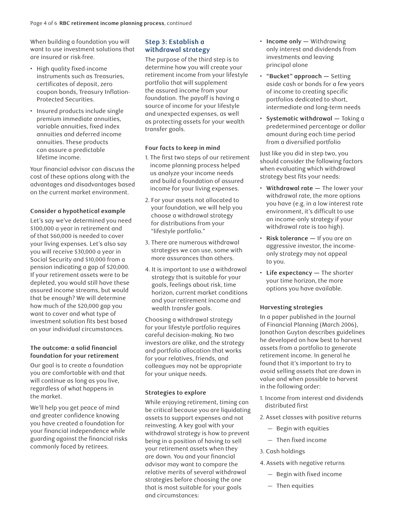When building a foundation you will want to use investment solutions that are insured or risk-free.

- High quality fixed-income instruments such as Treasuries, certificates of deposit, zero coupon bonds, Treasury Inflation-Protected Securities.
- Insured products include single premium immediate annuities, variable annuities, fixed index annuities and deferred income annuities. These products can assure a predictable lifetime income.

Your financial advisor can discuss the cost of these options along with the advantages and disadvantages based on the current market environment.

# **Consider a hypothetical example**

Let's say we've determined you need \$100,000 a year in retirement and of that \$60,000 is needed to cover your living expenses. Let's also say you will receive \$30,000 a year in Social Security and \$10,000 from a pension indicating a gap of \$20,000. If your retirement assets were to be depleted, you would still have these assured income streams, but would that be enough? We will determine how much of the \$20,000 gap you want to cover and what type of investment solution fits best based on your individual circumstances.

#### **The outcome: a solid financial foundation for your retirement**

Our goal is to create a foundation you are comfortable with and that will continue as long as you live, regardless of what happens in the market.

We'll help you get peace of mind and greater confidence knowing you have created a foundation for your financial independence while guarding against the financial risks commonly faced by retirees.

# **Step 3: Establish a withdrawal strategy**

The purpose of the third step is to determine how you will create your retirement income from your lifestyle portfolio that will supplement the assured income from your foundation. The payoff is having a source of income for your lifestyle and unexpected expenses, as well as protecting assets for your wealth transfer goals.

# **Four facts to keep in mind**

- 1. The first two steps of our retirement income planning process helped us analyze your income needs and build a foundation of assured income for your living expenses.
- 2. For your assets not allocated to your foundation, we will help you choose a withdrawal strategy for distributions from your "lifestyle portfolio."
- 3. There are numerous withdrawal strategies we can use, some with more assurances than others.
- 4. It is important to use a withdrawal strategy that is suitable for your goals, feelings about risk, time horizon, current market conditions and your retirement income and wealth transfer goals.

Choosing a withdrawal strategy for your lifestyle portfolio requires careful decision-making. No two investors are alike, and the strategy and portfolio allocation that works for your relatives, friends, and colleagues may not be appropriate for your unique needs.

# **Strategies to explore**

While enjoying retirement, timing can be critical because you are liquidating assets to support expenses and not reinvesting. A key goal with your withdrawal strategy is how to prevent being in a position of having to sell your retirement assets when they are down. You and your financial advisor may want to compare the relative merits of several withdrawal strategies before choosing the one that is most suitable for your goals and circumstances:

- **Income only —** Withdrawing only interest and dividends from investments and leaving principal alone
- **"Bucket" approach —** Setting aside cash or bonds for a few years of income to creating specific portfolios dedicated to short, intermediate and long-term needs
- **Systematic withdrawal —** Taking a predetermined percentage or dollar amount during each time period from a diversified portfolio

Just like you did in step two, you should consider the following factors when evaluating which withdrawal strategy best fits your needs:

- **Withdrawal rate —** The lower your withdrawal rate, the more options you have (e.g. in a low interest rate environment, it's difficult to use an income-only strategy if your withdrawal rate is too high).
- **Risk tolerance** If you are an aggressive investor, the incomeonly strategy may not appeal to you.
- **Life expectancy —** The shorter your time horizon, the more options you have available.

# **Harvesting strategies**

In a paper published in the Journal of Financial Planning (March 2006), Jonathon Guyton describes guidelines he developed on how best to harvest assets from a portfolio to generate retirement income. In general he found that it's important to try to avoid selling assets that are down in value and when possible to harvest in the following order:

- 1. Income from interest and dividends distributed first
- 2. Asset classes with positive returns
	- Begin with equities
	- Then fixed income
- 3. Cash holdings
- 4. Assets with negative returns
	- Begin with fixed income
	- Then equities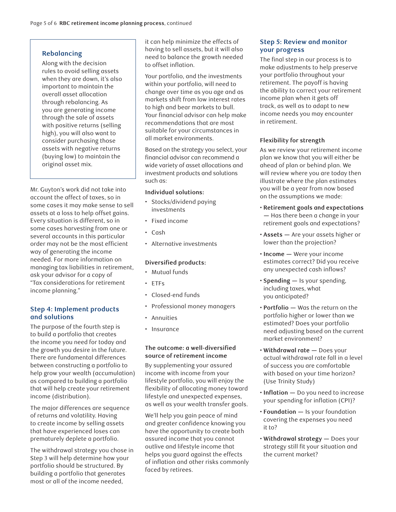# **Rebalancing**

Along with the decision rules to avoid selling assets when they are down, it's also important to maintain the overall asset allocation through rebalancing. As you are generating income through the sale of assets with positive returns (selling high), you will also want to consider purchasing those assets with negative returns (buying low) to maintain the original asset mix.

Mr. Guyton's work did not take into account the affect of taxes, so in some cases it may make sense to sell assets at a loss to help offset gains. Every situation is different, so in some cases harvesting from one or several accounts in this particular order may not be the most efficient way of generating the income needed. For more information on managing tax liabilities in retirement, ask your advisor for a copy of "Tax considerations for retirement income planning."

# **Step 4: Implement products and solutions**

The purpose of the fourth step is to build a portfolio that creates the income you need for today and the growth you desire in the future. There are fundamental differences between constructing a portfolio to help grow your wealth (accumulation) as compared to building a portfolio that will help create your retirement income (distribution).

The major differences are sequence of returns and volatility. Having to create income by selling assets that have experienced loses can prematurely deplete a portfolio.

The withdrawal strategy you chose in Step 3 will help determine how your portfolio should be structured. By building a portfolio that generates most or all of the income needed,

it can help minimize the effects of having to sell assets, but it will also need to balance the growth needed to offset inflation.

Your portfolio, and the investments within your portfolio, will need to change over time as you age and as markets shift from low interest rates to high and bear markets to bull. Your financial advisor can help make recommendations that are most suitable for your circumstances in all market environments.

Based on the strategy you select, your financial advisor can recommend a wide variety of asset allocations and investment products and solutions such as:

#### **Individual solutions:**

- Stocks/dividend paying investments
- Fixed income
- Cash
- Alternative investments

# **Diversified products:**

- Mutual funds
- ETFs
- Closed-end funds
- Professional money managers
- Annuities
- Insurance

#### **The outcome: a well-diversified source of retirement income**

By supplementing your assured income with income from your lifestyle portfolio, you will enjoy the flexibility of allocating money toward lifestyle and unexpected expenses, as well as your wealth transfer goals.

We'll help you gain peace of mind and greater confidence knowing you have the opportunity to create both assured income that you cannot outlive and lifestyle income that helps you guard against the effects of inflation and other risks commonly faced by retirees.

# **Step 5: Review and monitor your progress**

The final step in our process is to make adjustments to help preserve your portfolio throughout your retirement. The payoff is having the ability to correct your retirement income plan when it gets off track, as well as to adapt to new income needs you may encounter in retirement.

# **Flexibility for strength**

As we review your retirement income plan we know that you will either be ahead of plan or behind plan. We will review where you are today then illustrate where the plan estimates you will be a year from now based on the assumptions we made:

- **Retirement goals and expectations —** Has there been a change in your retirement goals and expectations?
- **Assets —** Are your assets higher or lower than the projection?
- **Income —** Were your income estimates correct? Did you receive any unexpected cash inflows?
- **Spending —** Is your spending, including taxes, what you anticipated?
- **Portfolio —** Was the return on the portfolio higher or lower than we estimated? Does your portfolio need adjusting based on the current market environment?
- **Withdrawal rate —** Does your actual withdrawal rate fall in a level of success you are comfortable with based on your time horizon? (Use Trinity Study)
- **Inflation —** Do you need to increase your spending for inflation (CPI)?
- **Foundation —** Is your foundation covering the expenses you need it to?
- **Withdrawal strategy —** Does your strategy still fit your situation and the current market?